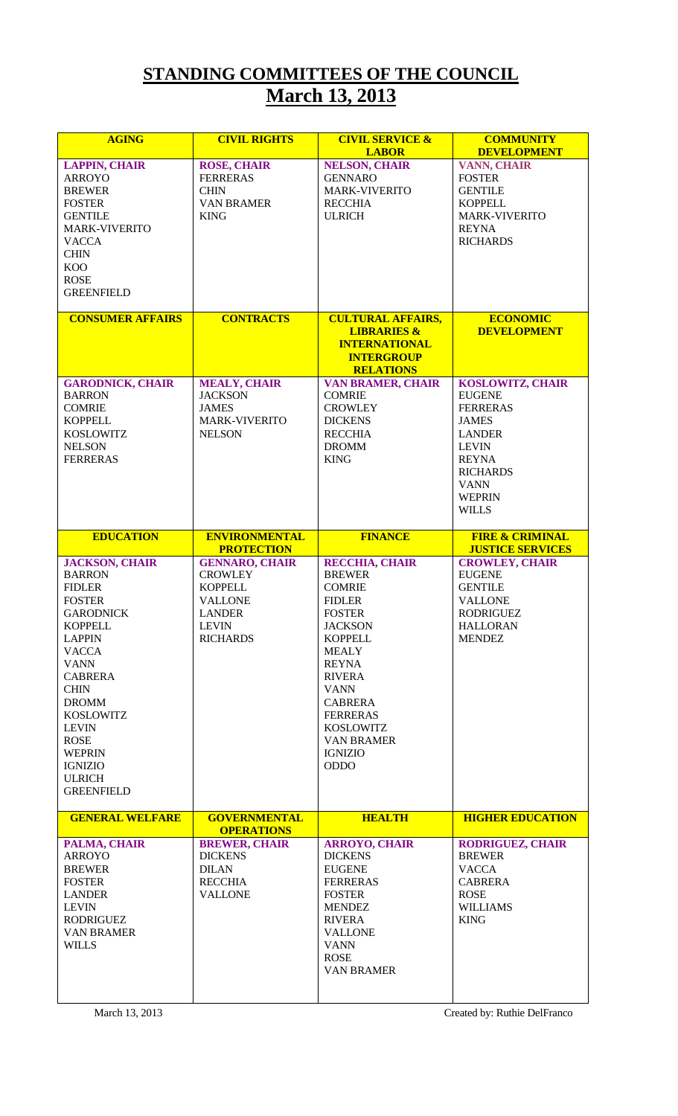## **STANDING COMMITTEES OF THE COUNCIL March 13, 2013**

| <b>AGING</b>                                                                                                                                                                                                                                                    | <b>CIVIL RIGHTS</b>                                                                            | <b>CIVIL SERVICE &amp;</b><br><b>LABOR</b>                                                                                                                                                                                                 | <b>COMMUNITY</b><br><b>DEVELOPMENT</b>                                                                                                                                                          |
|-----------------------------------------------------------------------------------------------------------------------------------------------------------------------------------------------------------------------------------------------------------------|------------------------------------------------------------------------------------------------|--------------------------------------------------------------------------------------------------------------------------------------------------------------------------------------------------------------------------------------------|-------------------------------------------------------------------------------------------------------------------------------------------------------------------------------------------------|
| <b>LAPPIN, CHAIR</b><br><b>ARROYO</b><br><b>BREWER</b><br><b>FOSTER</b><br><b>GENTILE</b><br><b>MARK-VIVERITO</b><br><b>VACCA</b><br><b>CHIN</b><br><b>KOO</b><br><b>ROSE</b><br><b>GREENFIELD</b>                                                              | <b>ROSE, CHAIR</b><br><b>FERRERAS</b><br><b>CHIN</b><br><b>VAN BRAMER</b><br><b>KING</b>       | <b>NELSON, CHAIR</b><br><b>GENNARO</b><br>MARK-VIVERITO<br><b>RECCHIA</b><br><b>ULRICH</b>                                                                                                                                                 | <b>VANN, CHAIR</b><br><b>FOSTER</b><br><b>GENTILE</b><br><b>KOPPELL</b><br><b>MARK-VIVERITO</b><br><b>REYNA</b><br><b>RICHARDS</b>                                                              |
| <b>CONSUMER AFFAIRS</b>                                                                                                                                                                                                                                         | <b>CONTRACTS</b>                                                                               | <b>CULTURAL AFFAIRS,</b><br><b>LIBRARIES &amp;</b><br><b>INTERNATIONAL</b><br><b>INTERGROUP</b><br><b>RELATIONS</b>                                                                                                                        | <b>ECONOMIC</b><br><b>DEVELOPMENT</b>                                                                                                                                                           |
| <b>GARODNICK, CHAIR</b><br><b>BARRON</b><br><b>COMRIE</b><br><b>KOPPELL</b><br><b>KOSLOWITZ</b><br><b>NELSON</b><br><b>FERRERAS</b>                                                                                                                             | <b>MEALY, CHAIR</b><br><b>JACKSON</b><br><b>JAMES</b><br><b>MARK-VIVERITO</b><br><b>NELSON</b> | <b>VAN BRAMER, CHAIR</b><br><b>COMRIE</b><br><b>CROWLEY</b><br><b>DICKENS</b><br><b>RECCHIA</b><br><b>DROMM</b><br><b>KING</b>                                                                                                             | <b>KOSLOWITZ, CHAIR</b><br><b>EUGENE</b><br><b>FERRERAS</b><br><b>JAMES</b><br><b>LANDER</b><br><b>LEVIN</b><br><b>REYNA</b><br><b>RICHARDS</b><br><b>VANN</b><br><b>WEPRIN</b><br><b>WILLS</b> |
| <b>EDUCATION</b>                                                                                                                                                                                                                                                | <b>ENVIRONMENTAL</b><br><b>PROTECTION</b>                                                      | <b>FINANCE</b>                                                                                                                                                                                                                             | <b>FIRE &amp; CRIMINAL</b><br><b>JUSTICE SERVICES</b>                                                                                                                                           |
| <b>JACKSON, CHAIR</b><br><b>BARRON</b><br><b>FIDLER</b><br><b>FOSTER</b>                                                                                                                                                                                        | <b>GENNARO, CHAIR</b><br><b>CROWLEY</b><br><b>KOPPELL</b>                                      | <b>RECCHIA, CHAIR</b><br><b>BREWER</b><br><b>COMRIE</b>                                                                                                                                                                                    | <b>CROWLEY, CHAIR</b><br><b>EUGENE</b><br><b>GENTILE</b>                                                                                                                                        |
| <b>GARODNICK</b><br><b>KOPPELL</b><br><b>LAPPIN</b><br><b>VACCA</b><br><b>VANN</b><br><b>CABRERA</b><br><b>CHIN</b><br><b>DROMM</b><br><b>KOSLOWITZ</b><br><b>LEVIN</b><br><b>ROSE</b><br><b>WEPRIN</b><br><b>IGNIZIO</b><br><b>ULRICH</b><br><b>GREENFIELD</b> | <b>VALLONE</b><br><b>LANDER</b><br><b>LEVIN</b><br><b>RICHARDS</b>                             | <b>FIDLER</b><br><b>FOSTER</b><br><b>JACKSON</b><br><b>KOPPELL</b><br><b>MEALY</b><br><b>REYNA</b><br><b>RIVERA</b><br><b>VANN</b><br><b>CABRERA</b><br><b>FERRERAS</b><br>KOSLOWITZ<br><b>VAN BRAMER</b><br><b>IGNIZIO</b><br><b>ODDO</b> | <b>VALLONE</b><br><b>RODRIGUEZ</b><br><b>HALLORAN</b><br><b>MENDEZ</b>                                                                                                                          |
| <b>GENERAL WELFARE</b><br>PALMA, CHAIR                                                                                                                                                                                                                          | <b>GOVERNMENTAL</b><br><b>OPERATIONS</b><br><b>BREWER, CHAIR</b>                               | <b>HEALTH</b><br><b>ARROYO, CHAIR</b>                                                                                                                                                                                                      | <b>HIGHER EDUCATION</b><br><b>RODRIGUEZ, CHAIR</b>                                                                                                                                              |

March 13, 2013 Created by: Ruthie DelFranco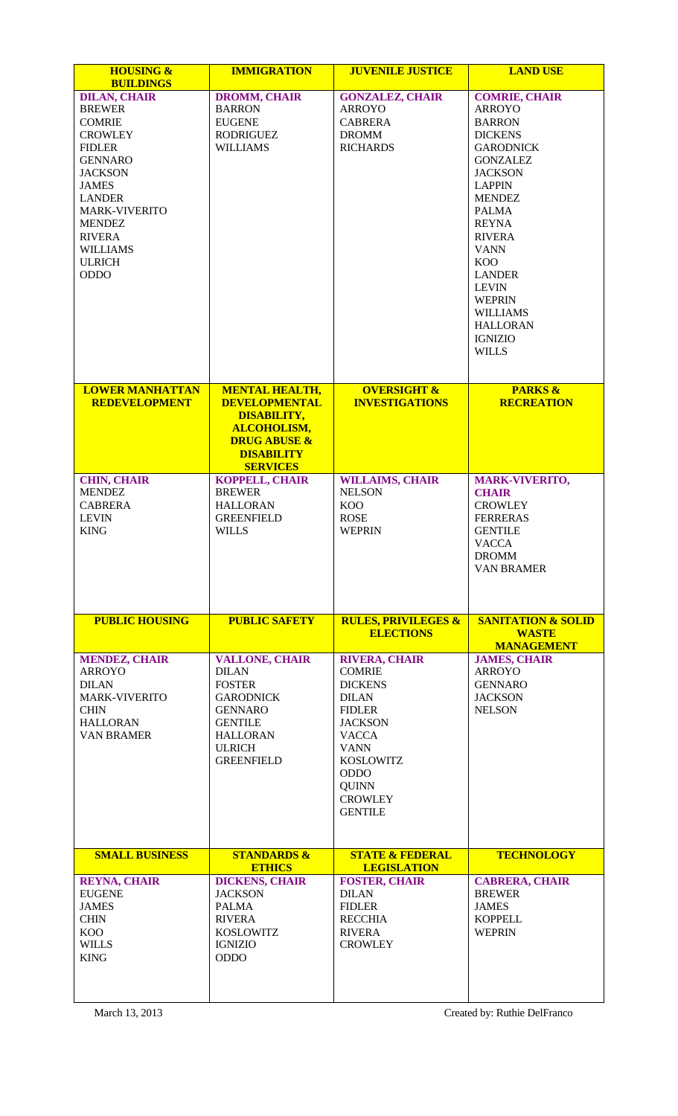| <b>HOUSING &amp;</b><br><b>BUILDINGS</b>                                                                                                                                                                                                                                   | <b>IMMIGRATION</b>                                                                                                                                                      | <b>JUVENILE JUSTICE</b>                                                                                                                                                                                                          | <b>LAND USE</b>                                                                                                                                                                                                                                                                                                                                                                   |
|----------------------------------------------------------------------------------------------------------------------------------------------------------------------------------------------------------------------------------------------------------------------------|-------------------------------------------------------------------------------------------------------------------------------------------------------------------------|----------------------------------------------------------------------------------------------------------------------------------------------------------------------------------------------------------------------------------|-----------------------------------------------------------------------------------------------------------------------------------------------------------------------------------------------------------------------------------------------------------------------------------------------------------------------------------------------------------------------------------|
| <b>DILAN, CHAIR</b><br><b>BREWER</b><br><b>COMRIE</b><br><b>CROWLEY</b><br><b>FIDLER</b><br><b>GENNARO</b><br><b>JACKSON</b><br><b>JAMES</b><br><b>LANDER</b><br><b>MARK-VIVERITO</b><br><b>MENDEZ</b><br><b>RIVERA</b><br><b>WILLIAMS</b><br><b>ULRICH</b><br><b>ODDO</b> | <b>DROMM, CHAIR</b><br><b>BARRON</b><br><b>EUGENE</b><br><b>RODRIGUEZ</b><br><b>WILLIAMS</b>                                                                            | <b>GONZALEZ, CHAIR</b><br><b>ARROYO</b><br><b>CABRERA</b><br><b>DROMM</b><br><b>RICHARDS</b>                                                                                                                                     | <b>COMRIE, CHAIR</b><br><b>ARROYO</b><br><b>BARRON</b><br><b>DICKENS</b><br><b>GARODNICK</b><br><b>GONZALEZ</b><br><b>JACKSON</b><br><b>LAPPIN</b><br><b>MENDEZ</b><br><b>PALMA</b><br><b>REYNA</b><br><b>RIVERA</b><br><b>VANN</b><br>K <sub>O</sub> O<br><b>LANDER</b><br><b>LEVIN</b><br><b>WEPRIN</b><br><b>WILLIAMS</b><br><b>HALLORAN</b><br><b>IGNIZIO</b><br><b>WILLS</b> |
| <b>LOWER MANHATTAN</b><br><b>REDEVELOPMENT</b>                                                                                                                                                                                                                             | <b>MENTAL HEALTH,</b><br><b>DEVELOPMENTAL</b><br><b>DISABILITY,</b><br><b>ALCOHOLISM,</b><br><b>DRUG ABUSE &amp;</b><br><b>DISABILITY</b><br><b>SERVICES</b>            | <b>OVERSIGHT &amp;</b><br><b>INVESTIGATIONS</b>                                                                                                                                                                                  | <b>PARKS &amp;</b><br><b>RECREATION</b>                                                                                                                                                                                                                                                                                                                                           |
| <b>CHIN, CHAIR</b><br><b>MENDEZ</b><br><b>CABRERA</b><br><b>LEVIN</b><br><b>KING</b>                                                                                                                                                                                       | <b>KOPPELL, CHAIR</b><br><b>BREWER</b><br><b>HALLORAN</b><br><b>GREENFIELD</b><br><b>WILLS</b>                                                                          | <b>WILLAIMS, CHAIR</b><br><b>NELSON</b><br><b>KOO</b><br><b>ROSE</b><br><b>WEPRIN</b>                                                                                                                                            | <b>MARK-VIVERITO,</b><br><b>CHAIR</b><br><b>CROWLEY</b><br><b>FERRERAS</b><br><b>GENTILE</b><br><b>VACCA</b><br><b>DROMM</b><br><b>VAN BRAMER</b>                                                                                                                                                                                                                                 |
| <b>PUBLIC HOUSING</b>                                                                                                                                                                                                                                                      | <b>PUBLIC SAFETY</b>                                                                                                                                                    | <b>RULES, PRIVILEGES &amp;</b><br><b>ELECTIONS</b>                                                                                                                                                                               | <b>SANITATION &amp; SOLID</b><br><b>WASTE</b><br><b>MANAGEMENT</b>                                                                                                                                                                                                                                                                                                                |
| <b>MENDEZ, CHAIR</b><br><b>ARROYO</b><br><b>DILAN</b><br><b>MARK-VIVERITO</b><br><b>CHIN</b><br><b>HALLORAN</b><br><b>VAN BRAMER</b>                                                                                                                                       | <b>VALLONE, CHAIR</b><br><b>DILAN</b><br><b>FOSTER</b><br><b>GARODNICK</b><br><b>GENNARO</b><br><b>GENTILE</b><br><b>HALLORAN</b><br><b>ULRICH</b><br><b>GREENFIELD</b> | <b>RIVERA, CHAIR</b><br><b>COMRIE</b><br><b>DICKENS</b><br><b>DILAN</b><br><b>FIDLER</b><br><b>JACKSON</b><br><b>VACCA</b><br><b>VANN</b><br><b>KOSLOWITZ</b><br><b>ODDO</b><br><b>QUINN</b><br><b>CROWLEY</b><br><b>GENTILE</b> | <b>JAMES, CHAIR</b><br><b>ARROYO</b><br><b>GENNARO</b><br><b>JACKSON</b><br><b>NELSON</b>                                                                                                                                                                                                                                                                                         |
| <b>SMALL BUSINESS</b>                                                                                                                                                                                                                                                      | <b>STANDARDS &amp;</b><br><b>ETHICS</b>                                                                                                                                 | <b>STATE &amp; FEDERAL</b><br><b>LEGISLATION</b>                                                                                                                                                                                 | <b>TECHNOLOGY</b>                                                                                                                                                                                                                                                                                                                                                                 |
| <b>REYNA, CHAIR</b><br><b>EUGENE</b><br><b>JAMES</b><br><b>CHIN</b><br><b>KOO</b><br><b>WILLS</b><br><b>KING</b>                                                                                                                                                           | <b>DICKENS, CHAIR</b><br><b>JACKSON</b><br>PALMA<br><b>RIVERA</b><br><b>KOSLOWITZ</b><br><b>IGNIZIO</b><br><b>ODDO</b>                                                  | <b>FOSTER, CHAIR</b><br><b>DILAN</b><br><b>FIDLER</b><br><b>RECCHIA</b><br><b>RIVERA</b><br><b>CROWLEY</b>                                                                                                                       | <b>CABRERA, CHAIR</b><br><b>BREWER</b><br><b>JAMES</b><br><b>KOPPELL</b><br><b>WEPRIN</b>                                                                                                                                                                                                                                                                                         |